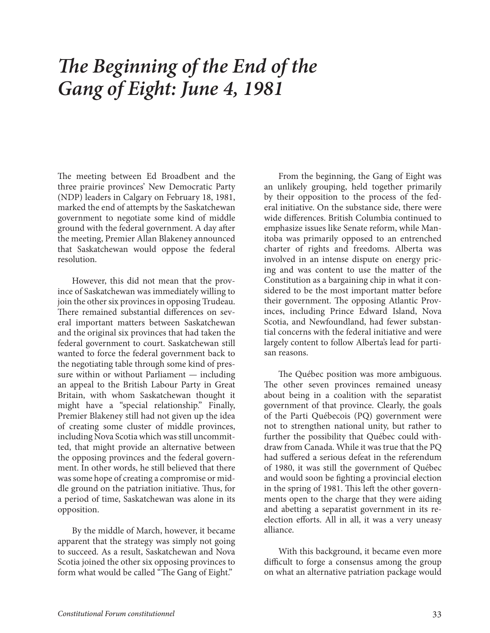# *The Beginning of the End of the Gang of Eight: June 4, 1981*

The meeting between Ed Broadbent and the three prairie provinces' New Democratic Party (NDP) leaders in Calgary on February 18, 1981, marked the end of attempts by the Saskatchewan government to negotiate some kind of middle ground with the federal government. A day after the meeting, Premier Allan Blakeney announced that Saskatchewan would oppose the federal resolution.

However, this did not mean that the province of Saskatchewan was immediately willing to join the other six provinces in opposing Trudeau. There remained substantial differences on several important matters between Saskatchewan and the original six provinces that had taken the federal government to court. Saskatchewan still wanted to force the federal government back to the negotiating table through some kind of pressure within or without Parliament — including an appeal to the British Labour Party in Great Britain, with whom Saskatchewan thought it might have a "special relationship." Finally, Premier Blakeney still had not given up the idea of creating some cluster of middle provinces, including Nova Scotia which was still uncommitted, that might provide an alternative between the opposing provinces and the federal government. In other words, he still believed that there was some hope of creating a compromise or middle ground on the patriation initiative. Thus, for a period of time, Saskatchewan was alone in its opposition.

By the middle of March, however, it became apparent that the strategy was simply not going to succeed. As a result, Saskatchewan and Nova Scotia joined the other six opposing provinces to form what would be called "The Gang of Eight."

From the beginning, the Gang of Eight was an unlikely grouping, held together primarily by their opposition to the process of the federal initiative. On the substance side, there were wide differences. British Columbia continued to emphasize issues like Senate reform, while Manitoba was primarily opposed to an entrenched charter of rights and freedoms. Alberta was involved in an intense dispute on energy pricing and was content to use the matter of the Constitution as a bargaining chip in what it considered to be the most important matter before their government. The opposing Atlantic Provinces, including Prince Edward Island, Nova Scotia, and Newfoundland, had fewer substantial concerns with the federal initiative and were largely content to follow Alberta's lead for partisan reasons.

The Québec position was more ambiguous. The other seven provinces remained uneasy about being in a coalition with the separatist government of that province. Clearly, the goals of the Parti Québecois (PQ) government were not to strengthen national unity, but rather to further the possibility that Québec could withdraw from Canada. While it was true that the PQ had suffered a serious defeat in the referendum of 1980, it was still the government of Québec and would soon be fighting a provincial election in the spring of 1981. This left the other governments open to the charge that they were aiding and abetting a separatist government in its reelection efforts. All in all, it was a very uneasy alliance.

With this background, it became even more difficult to forge a consensus among the group on what an alternative patriation package would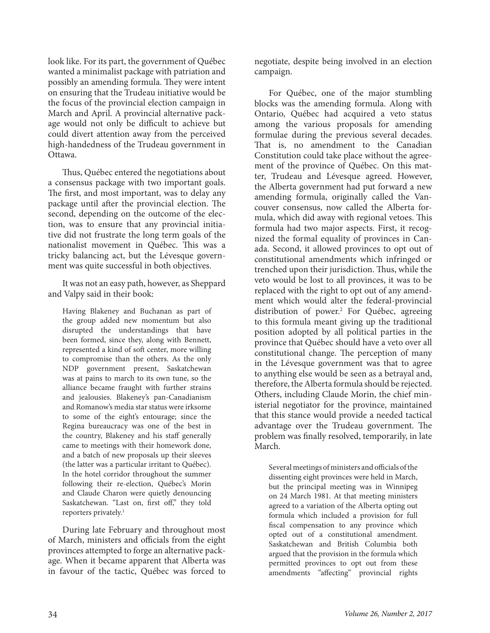look like. For its part, the government of Québec wanted a minimalist package with patriation and possibly an amending formula. They were intent on ensuring that the Trudeau initiative would be the focus of the provincial election campaign in March and April. A provincial alternative package would not only be difficult to achieve but could divert attention away from the perceived high-handedness of the Trudeau government in Ottawa.

Thus, Québec entered the negotiations about a consensus package with two important goals. The first, and most important, was to delay any package until after the provincial election. The second, depending on the outcome of the election, was to ensure that any provincial initiative did not frustrate the long term goals of the nationalist movement in Québec. This was a tricky balancing act, but the Lévesque government was quite successful in both objectives.

It was not an easy path, however, as Sheppard and Valpy said in their book:

Having Blakeney and Buchanan as part of the group added new momentum but also disrupted the understandings that have been formed, since they, along with Bennett, represented a kind of soft center, more willing to compromise than the others. As the only NDP government present, Saskatchewan was at pains to march to its own tune, so the alliance became fraught with further strains and jealousies. Blakeney's pan-Canadianism and Romanow's media star status were irksome to some of the eight's entourage; since the Regina bureaucracy was one of the best in the country, Blakeney and his staff generally came to meetings with their homework done, and a batch of new proposals up their sleeves (the latter was a particular irritant to Québec). In the hotel corridor throughout the summer following their re-election, Québec's Morin and Claude Charon were quietly denouncing Saskatchewan. "Last on, first off," they told reporters privately.<sup>1</sup>

During late February and throughout most of March, ministers and officials from the eight provinces attempted to forge an alternative package. When it became apparent that Alberta was in favour of the tactic, Québec was forced to negotiate, despite being involved in an election campaign.

For Québec, one of the major stumbling blocks was the amending formula. Along with Ontario, Québec had acquired a veto status among the various proposals for amending formulae during the previous several decades. That is, no amendment to the Canadian Constitution could take place without the agreement of the province of Québec. On this matter, Trudeau and Lévesque agreed. However, the Alberta government had put forward a new amending formula, originally called the Vancouver consensus, now called the Alberta formula, which did away with regional vetoes. This formula had two major aspects. First, it recognized the formal equality of provinces in Canada. Second, it allowed provinces to opt out of constitutional amendments which infringed or trenched upon their jurisdiction. Thus, while the veto would be lost to all provinces, it was to be replaced with the right to opt out of any amendment which would alter the federal-provincial distribution of power.<sup>2</sup> For Québec, agreeing to this formula meant giving up the traditional position adopted by all political parties in the province that Québec should have a veto over all constitutional change. The perception of many in the Lévesque government was that to agree to anything else would be seen as a betrayal and, therefore, the Alberta formula should be rejected. Others, including Claude Morin, the chief ministerial negotiator for the province, maintained that this stance would provide a needed tactical advantage over the Trudeau government. The problem was finally resolved, temporarily, in late March.

Several meetings of ministers and officials of the dissenting eight provinces were held in March, but the principal meeting was in Winnipeg on 24 March 1981. At that meeting ministers agreed to a variation of the Alberta opting out formula which included a provision for full fiscal compensation to any province which opted out of a constitutional amendment. Saskatchewan and British Columbia both argued that the provision in the formula which permitted provinces to opt out from these amendments "affecting" provincial rights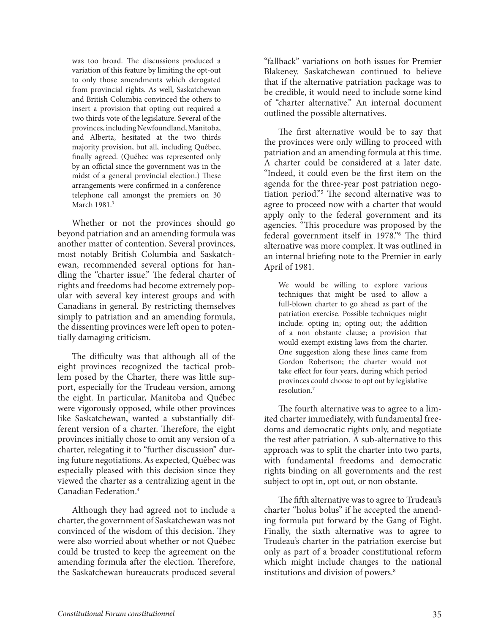was too broad. The discussions produced a variation of this feature by limiting the opt-out to only those amendments which derogated from provincial rights. As well, Saskatchewan and British Columbia convinced the others to insert a provision that opting out required a two thirds vote of the legislature. Several of the provinces, including Newfoundland, Manitoba, and Alberta, hesitated at the two thirds majority provision, but all, including Québec, finally agreed. (Québec was represented only by an official since the government was in the midst of a general provincial election.) These arrangements were confirmed in a conference telephone call amongst the premiers on 30 March 1981.<sup>3</sup>

Whether or not the provinces should go beyond patriation and an amending formula was another matter of contention. Several provinces, most notably British Columbia and Saskatchewan, recommended several options for handling the "charter issue." The federal charter of rights and freedoms had become extremely popular with several key interest groups and with Canadians in general. By restricting themselves simply to patriation and an amending formula, the dissenting provinces were left open to potentially damaging criticism.

The difficulty was that although all of the eight provinces recognized the tactical problem posed by the Charter, there was little support, especially for the Trudeau version, among the eight. In particular, Manitoba and Québec were vigorously opposed, while other provinces like Saskatchewan, wanted a substantially different version of a charter. Therefore, the eight provinces initially chose to omit any version of a charter, relegating it to "further discussion" during future negotiations. As expected, Québec was especially pleased with this decision since they viewed the charter as a centralizing agent in the Canadian Federation.4

Although they had agreed not to include a charter, the government of Saskatchewan was not convinced of the wisdom of this decision. They were also worried about whether or not Québec could be trusted to keep the agreement on the amending formula after the election. Therefore, the Saskatchewan bureaucrats produced several

"fallback" variations on both issues for Premier Blakeney. Saskatchewan continued to believe that if the alternative patriation package was to be credible, it would need to include some kind of "charter alternative." An internal document outlined the possible alternatives.

The first alternative would be to say that the provinces were only willing to proceed with patriation and an amending formula at this time. A charter could be considered at a later date. "Indeed, it could even be the first item on the agenda for the three-year post patriation negotiation period."5 The second alternative was to agree to proceed now with a charter that would apply only to the federal government and its agencies. "This procedure was proposed by the federal government itself in 1978."6 The third alternative was more complex. It was outlined in an internal briefing note to the Premier in early April of 1981.

We would be willing to explore various techniques that might be used to allow a full-blown charter to go ahead as part of the patriation exercise. Possible techniques might include: opting in; opting out; the addition of a non obstante clause; a provision that would exempt existing laws from the charter. One suggestion along these lines came from Gordon Robertson; the charter would not take effect for four years, during which period provinces could choose to opt out by legislative resolution.7

The fourth alternative was to agree to a limited charter immediately, with fundamental freedoms and democratic rights only, and negotiate the rest after patriation. A sub-alternative to this approach was to split the charter into two parts, with fundamental freedoms and democratic rights binding on all governments and the rest subject to opt in, opt out, or non obstante.

The fifth alternative was to agree to Trudeau's charter "holus bolus" if he accepted the amending formula put forward by the Gang of Eight. Finally, the sixth alternative was to agree to Trudeau's charter in the patriation exercise but only as part of a broader constitutional reform which might include changes to the national institutions and division of powers.<sup>8</sup>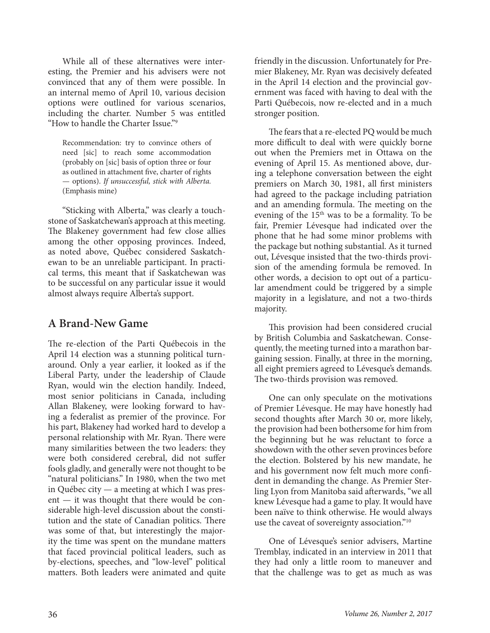While all of these alternatives were interesting, the Premier and his advisers were not convinced that any of them were possible. In an internal memo of April 10, various decision options were outlined for various scenarios, including the charter. Number 5 was entitled "How to handle the Charter Issue."9

Recommendation: try to convince others of need [sic] to reach some accommodation (probably on [sic] basis of option three or four as outlined in attachment five, charter of rights — options). *If unsuccessful, stick with Alberta.*  (Emphasis mine)

"Sticking with Alberta," was clearly a touchstone of Saskatchewan's approach at this meeting. The Blakeney government had few close allies among the other opposing provinces. Indeed, as noted above, Québec considered Saskatchewan to be an unreliable participant. In practical terms, this meant that if Saskatchewan was to be successful on any particular issue it would almost always require Alberta's support.

### **A Brand-New Game**

The re-election of the Parti Québecois in the April 14 election was a stunning political turnaround. Only a year earlier, it looked as if the Liberal Party, under the leadership of Claude Ryan, would win the election handily. Indeed, most senior politicians in Canada, including Allan Blakeney, were looking forward to having a federalist as premier of the province. For his part, Blakeney had worked hard to develop a personal relationship with Mr. Ryan. There were many similarities between the two leaders: they were both considered cerebral, did not suffer fools gladly, and generally were not thought to be "natural politicians." In 1980, when the two met in Québec city — a meeting at which I was present — it was thought that there would be considerable high-level discussion about the constitution and the state of Canadian politics. There was some of that, but interestingly the majority the time was spent on the mundane matters that faced provincial political leaders, such as by-elections, speeches, and "low-level" political matters. Both leaders were animated and quite friendly in the discussion. Unfortunately for Premier Blakeney, Mr. Ryan was decisively defeated in the April 14 election and the provincial government was faced with having to deal with the Parti Québecois, now re-elected and in a much stronger position.

The fears that a re-elected PQ would be much more difficult to deal with were quickly borne out when the Premiers met in Ottawa on the evening of April 15. As mentioned above, during a telephone conversation between the eight premiers on March 30, 1981, all first ministers had agreed to the package including patriation and an amending formula. The meeting on the evening of the 15<sup>th</sup> was to be a formality. To be fair, Premier Lévesque had indicated over the phone that he had some minor problems with the package but nothing substantial. As it turned out, Lévesque insisted that the two-thirds provision of the amending formula be removed. In other words, a decision to opt out of a particular amendment could be triggered by a simple majority in a legislature, and not a two-thirds majority.

This provision had been considered crucial by British Columbia and Saskatchewan. Consequently, the meeting turned into a marathon bargaining session. Finally, at three in the morning, all eight premiers agreed to Lévesque's demands. The two-thirds provision was removed.

One can only speculate on the motivations of Premier Lévesque. He may have honestly had second thoughts after March 30 or, more likely, the provision had been bothersome for him from the beginning but he was reluctant to force a showdown with the other seven provinces before the election. Bolstered by his new mandate, he and his government now felt much more confident in demanding the change. As Premier Sterling Lyon from Manitoba said afterwards, "we all knew Lévesque had a game to play. It would have been naïve to think otherwise. He would always use the caveat of sovereignty association."10

One of Lévesque's senior advisers, Martine Tremblay, indicated in an interview in 2011 that they had only a little room to maneuver and that the challenge was to get as much as was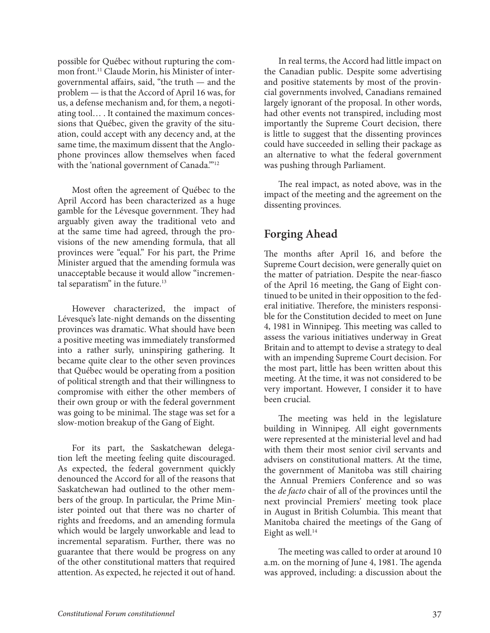possible for Québec without rupturing the common front.11 Claude Morin, his Minister of intergovernmental affairs, said, "the truth — and the problem — is that the Accord of April 16 was, for us, a defense mechanism and, for them, a negotiating tool… . It contained the maximum concessions that Québec, given the gravity of the situation, could accept with any decency and, at the same time, the maximum dissent that the Anglophone provinces allow themselves when faced with the 'national government of Canada."<sup>12</sup>

Most often the agreement of Québec to the April Accord has been characterized as a huge gamble for the Lévesque government. They had arguably given away the traditional veto and at the same time had agreed, through the provisions of the new amending formula, that all provinces were "equal." For his part, the Prime Minister argued that the amending formula was unacceptable because it would allow "incremental separatism" in the future.<sup>13</sup>

However characterized, the impact of Lévesque's late-night demands on the dissenting provinces was dramatic. What should have been a positive meeting was immediately transformed into a rather surly, uninspiring gathering. It became quite clear to the other seven provinces that Québec would be operating from a position of political strength and that their willingness to compromise with either the other members of their own group or with the federal government was going to be minimal. The stage was set for a slow-motion breakup of the Gang of Eight.

For its part, the Saskatchewan delegation left the meeting feeling quite discouraged. As expected, the federal government quickly denounced the Accord for all of the reasons that Saskatchewan had outlined to the other members of the group. In particular, the Prime Minister pointed out that there was no charter of rights and freedoms, and an amending formula which would be largely unworkable and lead to incremental separatism. Further, there was no guarantee that there would be progress on any of the other constitutional matters that required attention. As expected, he rejected it out of hand.

In real terms, the Accord had little impact on the Canadian public. Despite some advertising and positive statements by most of the provincial governments involved, Canadians remained largely ignorant of the proposal. In other words, had other events not transpired, including most importantly the Supreme Court decision, there is little to suggest that the dissenting provinces could have succeeded in selling their package as an alternative to what the federal government was pushing through Parliament.

The real impact, as noted above, was in the impact of the meeting and the agreement on the dissenting provinces.

## **Forging Ahead**

The months after April 16, and before the Supreme Court decision, were generally quiet on the matter of patriation. Despite the near-fiasco of the April 16 meeting, the Gang of Eight continued to be united in their opposition to the federal initiative. Therefore, the ministers responsible for the Constitution decided to meet on June 4, 1981 in Winnipeg. This meeting was called to assess the various initiatives underway in Great Britain and to attempt to devise a strategy to deal with an impending Supreme Court decision. For the most part, little has been written about this meeting. At the time, it was not considered to be very important. However, I consider it to have been crucial.

The meeting was held in the legislature building in Winnipeg. All eight governments were represented at the ministerial level and had with them their most senior civil servants and advisers on constitutional matters. At the time, the government of Manitoba was still chairing the Annual Premiers Conference and so was the *de facto* chair of all of the provinces until the next provincial Premiers' meeting took place in August in British Columbia. This meant that Manitoba chaired the meetings of the Gang of Eight as well.<sup>14</sup>

The meeting was called to order at around 10 a.m. on the morning of June 4, 1981. The agenda was approved, including: a discussion about the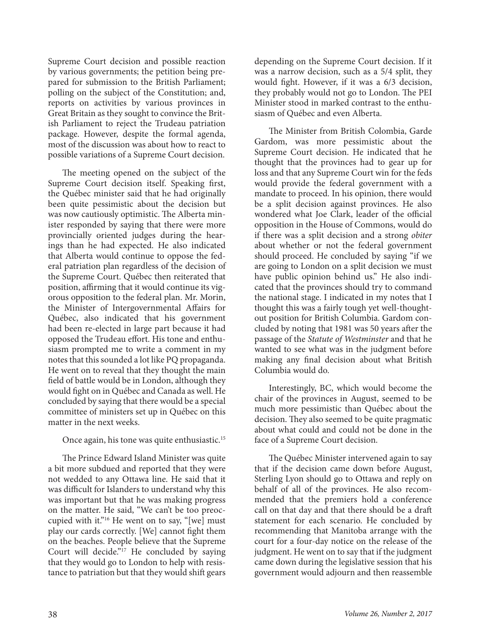Supreme Court decision and possible reaction by various governments; the petition being prepared for submission to the British Parliament; polling on the subject of the Constitution; and, reports on activities by various provinces in Great Britain as they sought to convince the British Parliament to reject the Trudeau patriation package. However, despite the formal agenda, most of the discussion was about how to react to possible variations of a Supreme Court decision.

The meeting opened on the subject of the Supreme Court decision itself. Speaking first, the Québec minister said that he had originally been quite pessimistic about the decision but was now cautiously optimistic. The Alberta minister responded by saying that there were more provincially oriented judges during the hearings than he had expected. He also indicated that Alberta would continue to oppose the federal patriation plan regardless of the decision of the Supreme Court. Québec then reiterated that position, affirming that it would continue its vigorous opposition to the federal plan. Mr. Morin, the Minister of Intergovernmental Affairs for Québec, also indicated that his government had been re-elected in large part because it had opposed the Trudeau effort. His tone and enthusiasm prompted me to write a comment in my notes that this sounded a lot like PQ propaganda. He went on to reveal that they thought the main field of battle would be in London, although they would fight on in Québec and Canada as well. He concluded by saying that there would be a special committee of ministers set up in Québec on this matter in the next weeks.

Once again, his tone was quite enthusiastic.15

The Prince Edward Island Minister was quite a bit more subdued and reported that they were not wedded to any Ottawa line. He said that it was difficult for Islanders to understand why this was important but that he was making progress on the matter. He said, "We can't be too preoccupied with it."16 He went on to say, "[we] must play our cards correctly. [We] cannot fight them on the beaches. People believe that the Supreme Court will decide."<sup>17</sup> He concluded by saying that they would go to London to help with resistance to patriation but that they would shift gears

depending on the Supreme Court decision. If it was a narrow decision, such as a 5/4 split, they would fight. However, if it was a 6/3 decision, they probably would not go to London. The PEI Minister stood in marked contrast to the enthusiasm of Québec and even Alberta.

The Minister from British Colombia, Garde Gardom, was more pessimistic about the Supreme Court decision. He indicated that he thought that the provinces had to gear up for loss and that any Supreme Court win for the feds would provide the federal government with a mandate to proceed. In his opinion, there would be a split decision against provinces. He also wondered what Joe Clark, leader of the official opposition in the House of Commons, would do if there was a split decision and a strong *obiter* about whether or not the federal government should proceed. He concluded by saying "if we are going to London on a split decision we must have public opinion behind us." He also indicated that the provinces should try to command the national stage. I indicated in my notes that I thought this was a fairly tough yet well-thoughtout position for British Columbia. Gardom concluded by noting that 1981 was 50 years after the passage of the *Statute of Westminster* and that he wanted to see what was in the judgment before making any final decision about what British Columbia would do.

Interestingly, BC, which would become the chair of the provinces in August, seemed to be much more pessimistic than Québec about the decision. They also seemed to be quite pragmatic about what could and could not be done in the face of a Supreme Court decision.

The Québec Minister intervened again to say that if the decision came down before August, Sterling Lyon should go to Ottawa and reply on behalf of all of the provinces. He also recommended that the premiers hold a conference call on that day and that there should be a draft statement for each scenario. He concluded by recommending that Manitoba arrange with the court for a four-day notice on the release of the judgment. He went on to say that if the judgment came down during the legislative session that his government would adjourn and then reassemble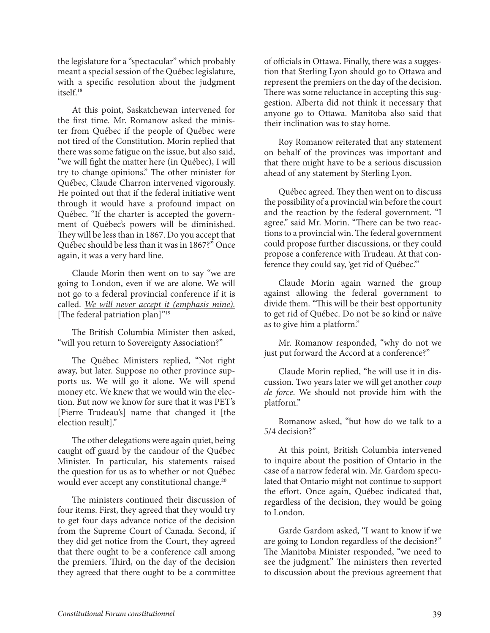the legislature for a "spectacular" which probably meant a special session of the Québec legislature, with a specific resolution about the judgment itself.18

At this point, Saskatchewan intervened for the first time. Mr. Romanow asked the minister from Québec if the people of Québec were not tired of the Constitution. Morin replied that there was some fatigue on the issue, but also said, "we will fight the matter here (in Québec), I will try to change opinions." The other minister for Québec, Claude Charron intervened vigorously. He pointed out that if the federal initiative went through it would have a profound impact on Québec. "If the charter is accepted the government of Québec's powers will be diminished. They will be less than in 1867. Do you accept that Québec should be less than it was in 1867?" Once again, it was a very hard line.

Claude Morin then went on to say "we are going to London, even if we are alone. We will not go to a federal provincial conference if it is called. *We will never accept it (emphasis mine).* [The federal patriation plan]"19

The British Columbia Minister then asked, "will you return to Sovereignty Association?"

The Québec Ministers replied, "Not right away, but later. Suppose no other province supports us. We will go it alone. We will spend money etc. We knew that we would win the election. But now we know for sure that it was PET's [Pierre Trudeau's] name that changed it [the election result]."

The other delegations were again quiet, being caught off guard by the candour of the Québec Minister. In particular, his statements raised the question for us as to whether or not Québec would ever accept any constitutional change.<sup>20</sup>

The ministers continued their discussion of four items. First, they agreed that they would try to get four days advance notice of the decision from the Supreme Court of Canada. Second, if they did get notice from the Court, they agreed that there ought to be a conference call among the premiers. Third, on the day of the decision they agreed that there ought to be a committee

of officials in Ottawa. Finally, there was a suggestion that Sterling Lyon should go to Ottawa and represent the premiers on the day of the decision. There was some reluctance in accepting this suggestion. Alberta did not think it necessary that anyone go to Ottawa. Manitoba also said that their inclination was to stay home.

Roy Romanow reiterated that any statement on behalf of the provinces was important and that there might have to be a serious discussion ahead of any statement by Sterling Lyon.

Québec agreed. They then went on to discuss the possibility of a provincial win before the court and the reaction by the federal government. "I agree." said Mr. Morin. "There can be two reactions to a provincial win. The federal government could propose further discussions, or they could propose a conference with Trudeau. At that conference they could say, 'get rid of Québec.'"

Claude Morin again warned the group against allowing the federal government to divide them. "This will be their best opportunity to get rid of Québec. Do not be so kind or naïve as to give him a platform."

Mr. Romanow responded, "why do not we just put forward the Accord at a conference?"

Claude Morin replied, "he will use it in discussion. Two years later we will get another *coup de force*. We should not provide him with the platform."

Romanow asked, "but how do we talk to a 5/4 decision?"

At this point, British Columbia intervened to inquire about the position of Ontario in the case of a narrow federal win. Mr. Gardom speculated that Ontario might not continue to support the effort. Once again, Québec indicated that, regardless of the decision, they would be going to London.

Garde Gardom asked, "I want to know if we are going to London regardless of the decision?" The Manitoba Minister responded, "we need to see the judgment." The ministers then reverted to discussion about the previous agreement that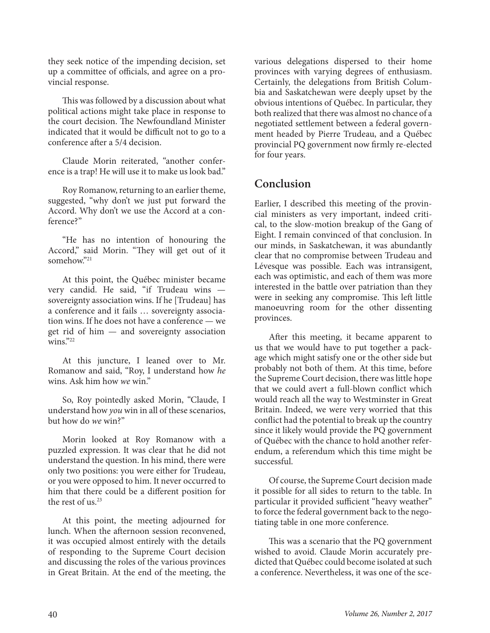they seek notice of the impending decision, set up a committee of officials, and agree on a provincial response.

This was followed by a discussion about what political actions might take place in response to the court decision. The Newfoundland Minister indicated that it would be difficult not to go to a conference after a 5/4 decision.

Claude Morin reiterated, "another conference is a trap! He will use it to make us look bad."

Roy Romanow, returning to an earlier theme, suggested, "why don't we just put forward the Accord. Why don't we use the Accord at a conference?"

"He has no intention of honouring the Accord," said Morin. "They will get out of it somehow."<sup>21</sup>

At this point, the Québec minister became very candid. He said, "if Trudeau wins sovereignty association wins. If he [Trudeau] has a conference and it fails … sovereignty association wins. If he does not have a conference — we get rid of him — and sovereignty association wins."22

At this juncture, I leaned over to Mr. Romanow and said, "Roy, I understand how *he*  wins. Ask him how *we* win."

So, Roy pointedly asked Morin, "Claude, I understand how *you* win in all of these scenarios, but how do *we* win?"

Morin looked at Roy Romanow with a puzzled expression. It was clear that he did not understand the question. In his mind, there were only two positions: you were either for Trudeau, or you were opposed to him. It never occurred to him that there could be a different position for the rest of us.<sup>23</sup>

At this point, the meeting adjourned for lunch. When the afternoon session reconvened, it was occupied almost entirely with the details of responding to the Supreme Court decision and discussing the roles of the various provinces in Great Britain. At the end of the meeting, the various delegations dispersed to their home provinces with varying degrees of enthusiasm. Certainly, the delegations from British Columbia and Saskatchewan were deeply upset by the obvious intentions of Québec. In particular, they both realized that there was almost no chance of a negotiated settlement between a federal government headed by Pierre Trudeau, and a Québec provincial PQ government now firmly re-elected for four years.

## **Conclusion**

Earlier, I described this meeting of the provincial ministers as very important, indeed critical, to the slow-motion breakup of the Gang of Eight. I remain convinced of that conclusion. In our minds, in Saskatchewan, it was abundantly clear that no compromise between Trudeau and Lévesque was possible. Each was intransigent, each was optimistic, and each of them was more interested in the battle over patriation than they were in seeking any compromise. This left little manoeuvring room for the other dissenting provinces.

After this meeting, it became apparent to us that we would have to put together a package which might satisfy one or the other side but probably not both of them. At this time, before the Supreme Court decision, there was little hope that we could avert a full-blown conflict which would reach all the way to Westminster in Great Britain. Indeed, we were very worried that this conflict had the potential to break up the country since it likely would provide the PQ government of Québec with the chance to hold another referendum, a referendum which this time might be successful.

Of course, the Supreme Court decision made it possible for all sides to return to the table. In particular it provided sufficient "heavy weather" to force the federal government back to the negotiating table in one more conference.

This was a scenario that the PQ government wished to avoid. Claude Morin accurately predicted that Québec could become isolated at such a conference. Nevertheless, it was one of the sce-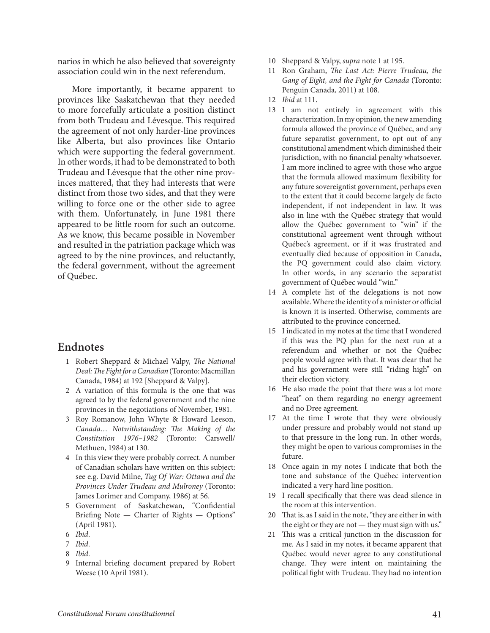narios in which he also believed that sovereignty association could win in the next referendum.

More importantly, it became apparent to provinces like Saskatchewan that they needed to more forcefully articulate a position distinct from both Trudeau and Lévesque. This required the agreement of not only harder-line provinces like Alberta, but also provinces like Ontario which were supporting the federal government. In other words, it had to be demonstrated to both Trudeau and Lévesque that the other nine provinces mattered, that they had interests that were distinct from those two sides, and that they were willing to force one or the other side to agree with them. Unfortunately, in June 1981 there appeared to be little room for such an outcome. As we know, this became possible in November and resulted in the patriation package which was agreed to by the nine provinces, and reluctantly, the federal government, without the agreement of Québec.

### **Endnotes**

- 1 Robert Sheppard & Michael Valpy, *The National Deal: The Fight for a Canadian* (Toronto: Macmillan Canada, 1984) at 192 [Sheppard & Valpy].
- 2 A variation of this formula is the one that was agreed to by the federal government and the nine provinces in the negotiations of November, 1981.
- 3 Roy Romanow, John Whyte & Howard Leeson, *Canada… Notwithstanding: The Making of the Constitution 1976–1982* (Toronto: Carswell/ Methuen, 1984) at 130.
- 4 In this view they were probably correct. A number of Canadian scholars have written on this subject: see e.g. David Milne, *Tug Of War: Ottawa and the Provinces Under Trudeau and Mulroney* (Toronto: James Lorimer and Company, 1986) at 56.
- 5 Government of Saskatchewan, "Confidential Briefing Note — Charter of Rights — Options" (April 1981).
- 6 *Ibid*.
- 7 *Ibid*.
- 8 *Ibid*.
- 9 Internal briefing document prepared by Robert Weese (10 April 1981).
- 10 Sheppard & Valpy, *supra* note 1 at 195.
- 11 Ron Graham, *The Last Act: Pierre Trudeau, the Gang of Eight, and the Fight for Canada* (Toronto: Penguin Canada, 2011) at 108.
- 12 *Ibid* at 111.
- 13 I am not entirely in agreement with this characterization. In my opinion, the new amending formula allowed the province of Québec, and any future separatist government, to opt out of any constitutional amendment which diminished their jurisdiction, with no financial penalty whatsoever. I am more inclined to agree with those who argue that the formula allowed maximum flexibility for any future sovereigntist government, perhaps even to the extent that it could become largely de facto independent, if not independent in law. It was also in line with the Québec strategy that would allow the Québec government to "win" if the constitutional agreement went through without Québec's agreement, or if it was frustrated and eventually died because of opposition in Canada, the PQ government could also claim victory. In other words, in any scenario the separatist government of Québec would "win."
- 14 A complete list of the delegations is not now available. Where the identity of a minister or official is known it is inserted. Otherwise, comments are attributed to the province concerned.
- 15 I indicated in my notes at the time that I wondered if this was the PQ plan for the next run at a referendum and whether or not the Québec people would agree with that. It was clear that he and his government were still "riding high" on their election victory.
- 16 He also made the point that there was a lot more "heat" on them regarding no energy agreement and no Dree agreement.
- 17 At the time I wrote that they were obviously under pressure and probably would not stand up to that pressure in the long run. In other words, they might be open to various compromises in the future.
- 18 Once again in my notes I indicate that both the tone and substance of the Québec intervention indicated a very hard line position.
- 19 I recall specifically that there was dead silence in the room at this intervention.
- 20 That is, as I said in the note, "they are either in with the eight or they are not — they must sign with us."
- 21 This was a critical junction in the discussion for me. As I said in my notes, it became apparent that Québec would never agree to any constitutional change. They were intent on maintaining the political fight with Trudeau. They had no intention